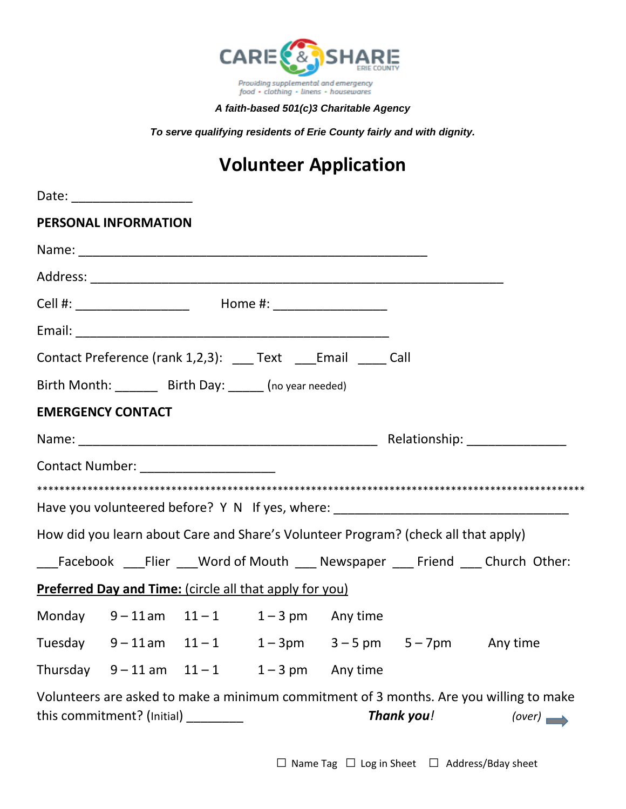

## *A faith-based 501(c)3 Charitable Agency*

*To serve qualifying residents of Erie County fairly and with dignity.*

## **Volunteer Application**

|                          | <b>PERSONAL INFORMATION</b>                                      |  |                                                                                    |                                                                                                  |
|--------------------------|------------------------------------------------------------------|--|------------------------------------------------------------------------------------|--------------------------------------------------------------------------------------------------|
|                          |                                                                  |  |                                                                                    |                                                                                                  |
|                          |                                                                  |  |                                                                                    |                                                                                                  |
|                          | Cell #: _______________________  Home #: _____________________   |  |                                                                                    |                                                                                                  |
|                          |                                                                  |  |                                                                                    |                                                                                                  |
|                          | Contact Preference (rank 1,2,3): ____ Text ____ Email _____ Call |  |                                                                                    |                                                                                                  |
|                          | Birth Month: ________ Birth Day: ______ (no year needed)         |  |                                                                                    |                                                                                                  |
| <b>EMERGENCY CONTACT</b> |                                                                  |  |                                                                                    |                                                                                                  |
|                          |                                                                  |  |                                                                                    |                                                                                                  |
|                          | Contact Number: ______________________                           |  |                                                                                    |                                                                                                  |
|                          |                                                                  |  |                                                                                    |                                                                                                  |
|                          |                                                                  |  |                                                                                    | Have you volunteered before? Y N If yes, where: ________________________________                 |
|                          |                                                                  |  | How did you learn about Care and Share's Volunteer Program? (check all that apply) |                                                                                                  |
|                          |                                                                  |  |                                                                                    | ___Facebook ___Flier ___Word of Mouth ___ Newspaper ___ Friend ___ Church Other:                 |
|                          | Preferred Day and Time: (circle all that apply for you)          |  |                                                                                    |                                                                                                  |
|                          | Monday $9-11$ am $11-1$ $1-3$ pm Any time                        |  |                                                                                    |                                                                                                  |
|                          |                                                                  |  | Tuesday $9-11$ am $11-1$ $1-3$ pm $3-5$ pm $5-7$ pm Any time                       |                                                                                                  |
|                          | Thursday $9-11$ am $11-1$ $1-3$ pm Any time                      |  |                                                                                    |                                                                                                  |
|                          | this commitment? $(\text{Initial})$ ________                     |  | Thank you!                                                                         | Volunteers are asked to make a minimum commitment of 3 months. Are you willing to make<br>(over) |